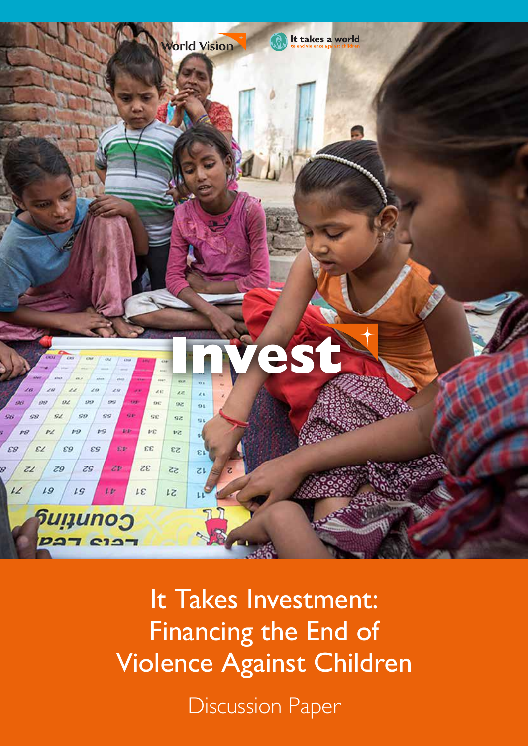

It Takes Investment: Financing the End of Violence Against Children

Discussion Paper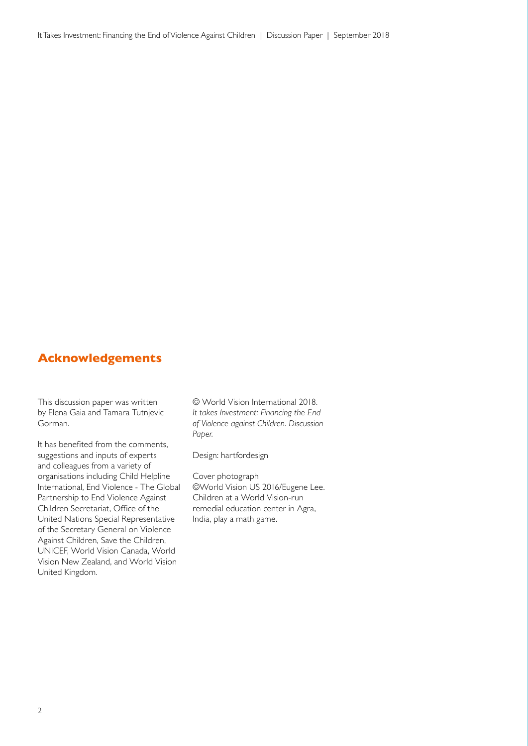#### **Acknowledgements**

This discussion paper was written by Elena Gaia and Tamara Tutnjevic Gorman.

It has benefited from the comments, suggestions and inputs of experts and colleagues from a variety of organisations including Child Helpline International, End Violence - The Global Partnership to End Violence Against Children Secretariat, Office of the United Nations Special Representative of the Secretary General on Violence Against Children, Save the Children, UNICEF, World Vision Canada, World Vision New Zealand, and World Vision United Kingdom.

© World Vision International 2018. *It takes Investment: Financing the End of Violence against Children. Discussion Paper.*

Design: hartfordesign

Cover photograph ©World Vision US 2016/Eugene Lee. Children at a World Vision-run remedial education center in Agra, India, play a math game.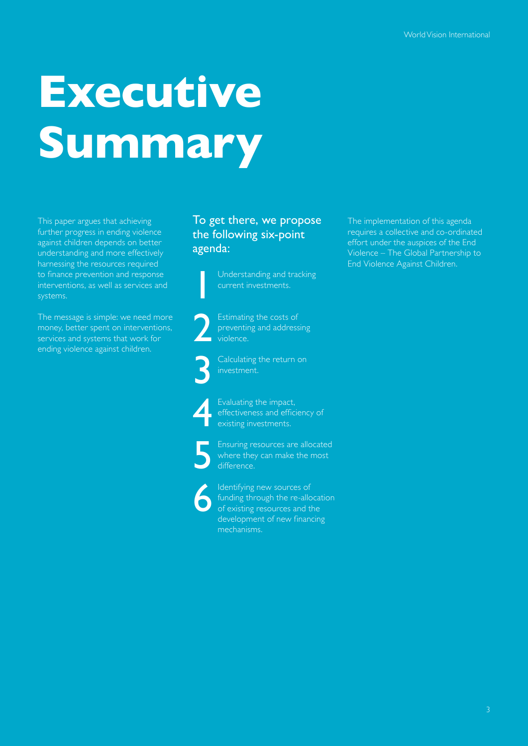## **Executive Summary**

This paper argues that achieving further progress in ending violence against children depends on better understanding and more effectively harnessing the resources required to finance prevention and response interventions, as well as services and systems.

The message is simple: we need more money, better spent on interventions, services and systems that work for ending violence against children.

#### To get there, we propose the following six-point agenda:

Understanding and tracking

Estimating the costs of preventing and addressing violence.

Calculating the return on investment.



Evaluating the impact,<br>effectiveness and efficiency<br>existing investments. effectiveness and efficiency of existing investments.

Ensuring resources are allocated<br>where they can make the most<br>difference. where they can make the most difference.

Identifying new sources of<br>
funding through the re-allo<br>
of existing resources and the<br>
development of new finance funding through the re-allocation of existing resources and the development of new financing mechanisms.

The implementation of this agenda requires a collective and co-ordinated effort under the auspices of the End Violence – The Global Partnership to End Violence Against Children.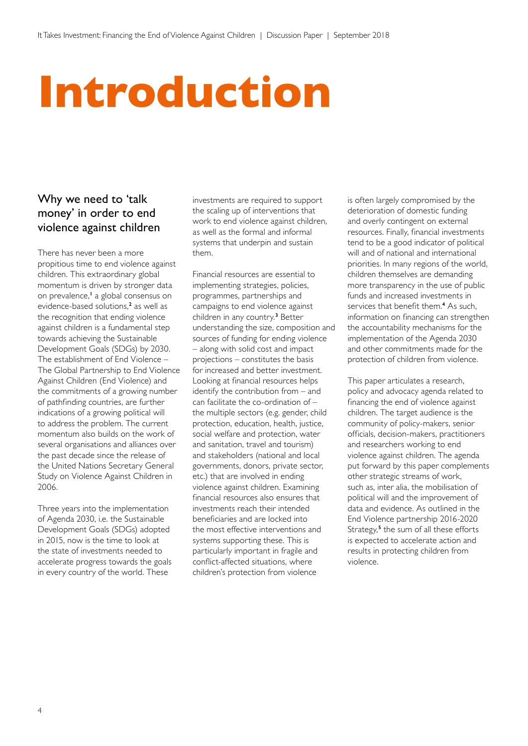### **Introduction**

#### Why we need to 'talk money' in order to end violence against children

There has never been a more propitious time to end violence against children. This extraordinary global momentum is driven by stronger data on prevalence,**<sup>1</sup>** a global consensus on evidence-based solutions,**<sup>2</sup>** as well as the recognition that ending violence against children is a fundamental step towards achieving the Sustainable Development Goals (SDGs) by 2030. The establishment of End Violence – The Global Partnership to End Violence Against Children (End Violence) and the commitments of a growing number of pathfinding countries, are further indications of a growing political will to address the problem. The current momentum also builds on the work of several organisations and alliances over the past decade since the release of the United Nations Secretary General Study on Violence Against Children in 2006.

Three years into the implementation of Agenda 2030, i.e. the Sustainable Development Goals (SDGs) adopted in 2015, now is the time to look at the state of investments needed to accelerate progress towards the goals in every country of the world. These

investments are required to support the scaling up of interventions that work to end violence against children, as well as the formal and informal systems that underpin and sustain them.

Financial resources are essential to implementing strategies, policies, programmes, partnerships and campaigns to end violence against children in any country.**<sup>3</sup>** Better understanding the size, composition and sources of funding for ending violence – along with solid cost and impact projections – constitutes the basis for increased and better investment. Looking at financial resources helps identify the contribution from – and can facilitate the co-ordination of – the multiple sectors (e.g. gender, child protection, education, health, justice, social welfare and protection, water and sanitation, travel and tourism) and stakeholders (national and local governments, donors, private sector, etc.) that are involved in ending violence against children. Examining financial resources also ensures that investments reach their intended beneficiaries and are locked into the most effective interventions and systems supporting these. This is particularly important in fragile and conflict-affected situations, where children's protection from violence

is often largely compromised by the deterioration of domestic funding and overly contingent on external resources. Finally, financial investments tend to be a good indicator of political will and of national and international priorities. In many regions of the world, children themselves are demanding more transparency in the use of public funds and increased investments in services that benefit them.**<sup>4</sup>** As such, information on financing can strengthen the accountability mechanisms for the implementation of the Agenda 2030 and other commitments made for the protection of children from violence.

This paper articulates a research, policy and advocacy agenda related to financing the end of violence against children. The target audience is the community of policy-makers, senior officials, decision-makers, practitioners and researchers working to end violence against children. The agenda put forward by this paper complements other strategic streams of work, such as, inter alia, the mobilisation of political will and the improvement of data and evidence. As outlined in the End Violence partnership 2016-2020 Strategy,**<sup>5</sup>** the sum of all these efforts is expected to accelerate action and results in protecting children from violence.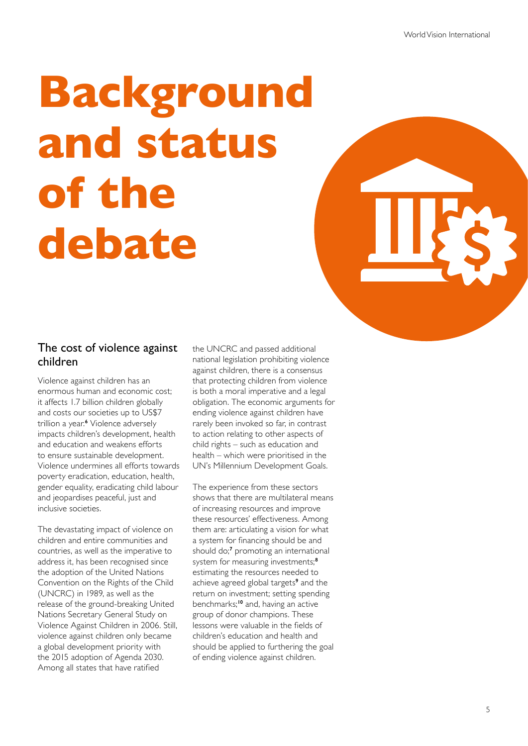## **Background and status of the debate**

#### The cost of violence against children

Violence against children has an enormous human and economic cost; it affects 1.7 billion children globally and costs our societies up to US\$7 trillion a year.**<sup>6</sup>** Violence adversely impacts children's development, health and education and weakens efforts to ensure sustainable development. Violence undermines all efforts towards poverty eradication, education, health, gender equality, eradicating child labour and jeopardises peaceful, just and inclusive societies.

The devastating impact of violence on children and entire communities and countries, as well as the imperative to address it, has been recognised since the adoption of the United Nations Convention on the Rights of the Child (UNCRC) in 1989, as well as the release of the ground-breaking United Nations Secretary General Study on Violence Against Children in 2006. Still, violence against children only became a global development priority with the 2015 adoption of Agenda 2030. Among all states that have ratified

the UNCRC and passed additional national legislation prohibiting violence against children, there is a consensus that protecting children from violence is both a moral imperative and a legal obligation. The economic arguments for ending violence against children have rarely been invoked so far, in contrast to action relating to other aspects of child rights – such as education and health – which were prioritised in the UN's Millennium Development Goals.

The experience from these sectors shows that there are multilateral means of increasing resources and improve these resources' effectiveness. Among them are: articulating a vision for what a system for financing should be and should do;<sup>7</sup> promoting an international system for measuring investments;**<sup>8</sup>** estimating the resources needed to achieve agreed global targets**<sup>9</sup>** and the return on investment; setting spending benchmarks;**<sup>10</sup>** and, having an active group of donor champions. These lessons were valuable in the fields of children's education and health and should be applied to furthering the goal of ending violence against children.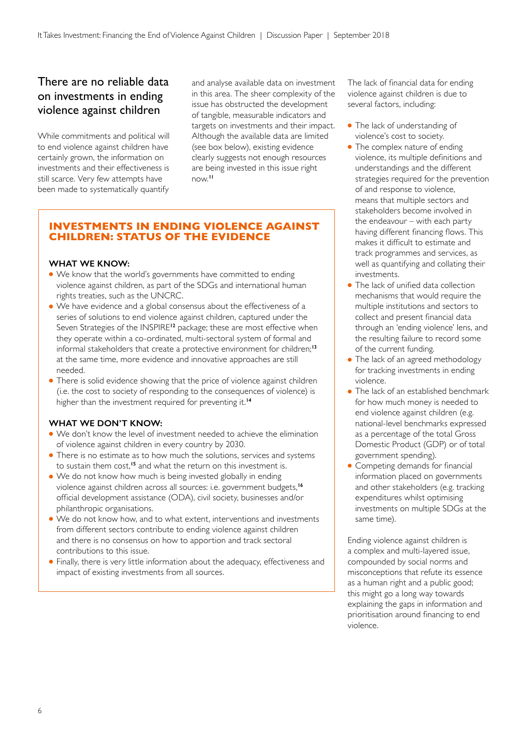#### There are no reliable data on investments in ending violence against children

While commitments and political will to end violence against children have certainly grown, the information on investments and their effectiveness is still scarce. Very few attempts have been made to systematically quantify

and analyse available data on investment in this area. The sheer complexity of the issue has obstructed the development of tangible, measurable indicators and targets on investments and their impact. Although the available data are limited (see box below), existing evidence clearly suggests not enough resources are being invested in this issue right now.**<sup>11</sup>**

#### **INVESTMENTS IN ENDING VIOLENCE AGAINST CHILDREN: STATUS OF THE EVIDENCE**

#### **WHAT WE KNOW:**

- We know that the world's governments have committed to ending violence against children, as part of the SDGs and international human rights treaties, such as the UNCRC.
- We have evidence and a global consensus about the effectiveness of a series of solutions to end violence against children, captured under the Seven Strategies of the INSPIRE**<sup>12</sup>** package; these are most effective when they operate within a co-ordinated, multi-sectoral system of formal and informal stakeholders that create a protective environment for children;**<sup>13</sup>** at the same time, more evidence and innovative approaches are still needed.
- There is solid evidence showing that the price of violence against children (i.e. the cost to society of responding to the consequences of violence) is higher than the investment required for preventing it.**<sup>14</sup>**

#### **WHAT WE DON'T KNOW:**

- We don't know the level of investment needed to achieve the elimination of violence against children in every country by 2030.
- There is no estimate as to how much the solutions, services and systems to sustain them cost,**<sup>15</sup>** and what the return on this investment is.
- We do not know how much is being invested globally in ending violence against children across all sources: i.e. government budgets,**<sup>16</sup>** official development assistance (ODA), civil society, businesses and/or philanthropic organisations.
- We do not know how, and to what extent, interventions and investments from different sectors contribute to ending violence against children and there is no consensus on how to apportion and track sectoral contributions to this issue.
- Finally, there is very little information about the adequacy, effectiveness and impact of existing investments from all sources.

The lack of financial data for ending violence against children is due to several factors, including:

- The lack of understanding of violence's cost to society.
- The complex nature of ending violence, its multiple definitions and understandings and the different strategies required for the prevention of and response to violence, means that multiple sectors and stakeholders become involved in the endeavour – with each party having different financing flows. This makes it difficult to estimate and track programmes and services, as well as quantifying and collating their investments.
- The lack of unified data collection mechanisms that would require the multiple institutions and sectors to collect and present financial data through an 'ending violence' lens, and the resulting failure to record some of the current funding.
- The lack of an agreed methodology for tracking investments in ending violence.
- The lack of an established benchmark for how much money is needed to end violence against children (e.g. national-level benchmarks expressed as a percentage of the total Gross Domestic Product (GDP) or of total government spending).
- Competing demands for financial information placed on governments and other stakeholders (e.g. tracking expenditures whilst optimising investments on multiple SDGs at the same time).

Ending violence against children is a complex and multi-layered issue, compounded by social norms and misconceptions that refute its essence as a human right and a public good; this might go a long way towards explaining the gaps in information and prioritisation around financing to end violence.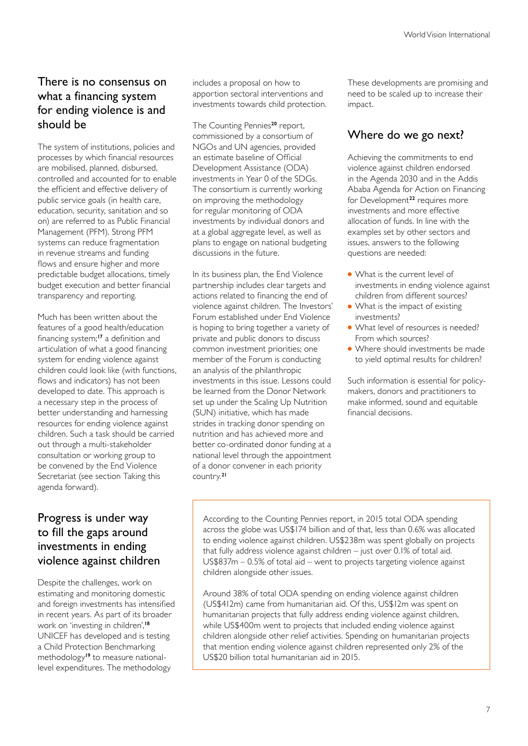#### There is no consensus on what a financing system for ending violence is and should be

The system of institutions, policies and processes by which financial resources are mobilised, planned, disbursed, controlled and accounted for to enable the efficient and effective delivery of public service goals (in health care, education, security, sanitation and so on) are referred to as Public Financial Management (PFM). Strong PFM systems can reduce fragmentation in revenue streams and funding flows and ensure higher and more predictable budget allocations, timely budget execution and better financial transparency and reporting.

Much has been written about the features of a good health/education financing system;**<sup>17</sup>** a definition and articulation of what a good financing system for ending violence against children could look like (with functions, flows and indicators) has not been developed to date. This approach is a necessary step in the process of better understanding and harnessing resources for ending violence against children. Such a task should be carried out through a multi-stakeholder consultation or working group to be convened by the End Violence Secretariat (see section Taking this agenda forward).

#### Progress is under way to fill the gaps around investments in ending violence against children

Despite the challenges, work on estimating and monitoring domestic and foreign investments has intensified in recent years. As part of its broader work on 'investing in children',**<sup>18</sup>** UNICEF has developed and is testing a Child Protection Benchmarking methodology**19** to measure nationallevel expenditures. The methodology

includes a proposal on how to apportion sectoral interventions and investments towards child protection.

The Counting Pennies**<sup>20</sup>** report, commissioned by a consortium of NGOs and UN agencies, provided an estimate baseline of Official Development Assistance (ODA) investments in Year 0 of the SDGs. The consortium is currently working on improving the methodology for regular monitoring of ODA investments by individual donors and at a global aggregate level, as well as plans to engage on national budgeting discussions in the future.

In its business plan, the End Violence partnership includes clear targets and actions related to financing the end of violence against children. The Investors' Forum established under End Violence is hoping to bring together a variety of private and public donors to discuss common investment priorities; one member of the Forum is conducting an analysis of the philanthropic investments in this issue. Lessons could be learned from the Donor Network set up under the Scaling Up Nutrition (SUN) initiative, which has made strides in tracking donor spending on nutrition and has achieved more and better co-ordinated donor funding at a national level through the appointment of a donor convener in each priority country.**<sup>21</sup>**

These developments are promising and need to be scaled up to increase their impact.

#### Where do we go next?

Achieving the commitments to end violence against children endorsed in the Agenda 2030 and in the Addis Ababa Agenda for Action on Financing for Development**<sup>22</sup>** requires more investments and more effective allocation of funds. In line with the examples set by other sectors and issues, answers to the following questions are needed:

- What is the current level of investments in ending violence against children from different sources?
- What is the impact of existing investments?
- What level of resources is needed? From which sources?
- Where should investments be made to yield optimal results for children?

Such information is essential for policymakers, donors and practitioners to make informed, sound and equitable financial decisions.

According to the Counting Pennies report, in 2015 total ODA spending across the globe was US\$174 billion and of that, less than 0.6% was allocated to ending violence against children. US\$238m was spent globally on projects that fully address violence against children – just over 0.1% of total aid. US\$837m – 0.5% of total aid – went to projects targeting violence against children alongside other issues.

Around 38% of total ODA spending on ending violence against children (US\$412m) came from humanitarian aid. Of this, US\$12m was spent on humanitarian projects that fully address ending violence against children, while US\$400m went to projects that included ending violence against children alongside other relief activities. Spending on humanitarian projects that mention ending violence against children represented only 2% of the US\$20 billion total humanitarian aid in 2015.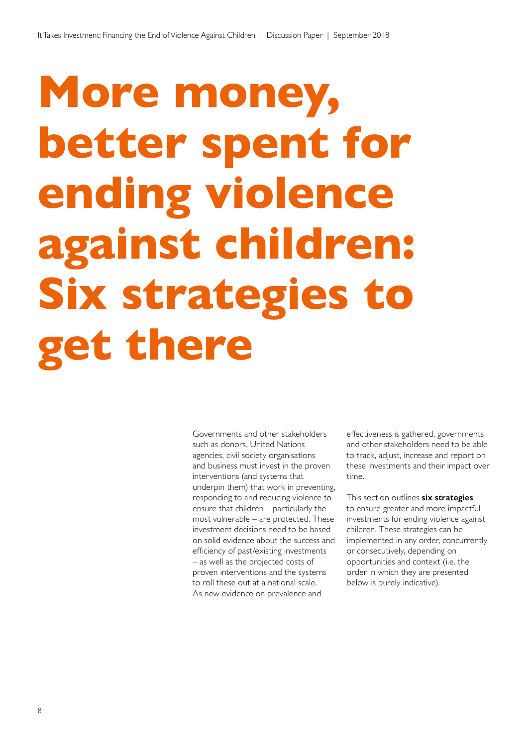## **More money, better spent for ending violence against children: Six strategies to get there**

Governments and other stakeholders such as donors, United Nations agencies, civil society organisations and business must invest in the proven interventions (and systems that underpin them) that work in preventing, responding to and reducing violence to ensure that children – particularly the most vulnerable – are protected. These investment decisions need to be based on solid evidence about the success and efficiency of past/existing investments – as well as the projected costs of proven interventions and the systems to roll these out at a national scale. As new evidence on prevalence and

effectiveness is gathered, governments and other stakeholders need to be able to track, adjust, increase and report on these investments and their impact over time.

This section outlines **six strategies** to ensure greater and more impactful investments for ending violence against children. These strategies can be implemented in any order, concurrently or consecutively, depending on opportunities and context (i.e. the order in which they are presented below is purely indicative).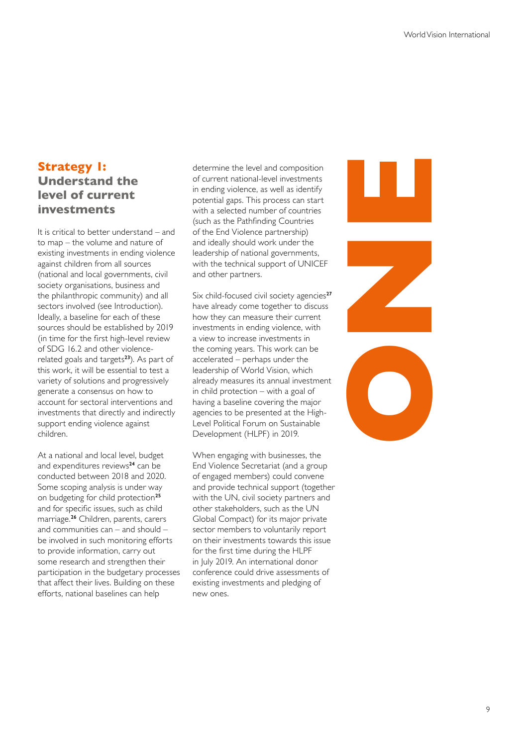#### **Strategy 1: Understand the level of current investments**

It is critical to better understand – and to map – the volume and nature of existing investments in ending violence against children from all sources (national and local governments, civil society organisations, business and the philanthropic community) and all sectors involved (see Introduction). Ideally, a baseline for each of these sources should be established by 2019 (in time for the first high-level review of SDG 16.2 and other violencerelated goals and targets**<sup>23</sup>**). As part of this work, it will be essential to test a variety of solutions and progressively generate a consensus on how to account for sectoral interventions and investments that directly and indirectly support ending violence against children.

At a national and local level, budget and expenditures reviews**<sup>24</sup>** can be conducted between 2018 and 2020. Some scoping analysis is under way on budgeting for child protection**<sup>25</sup>** and for specific issues, such as child marriage.**<sup>26</sup>** Children, parents, carers and communities can – and should – be involved in such monitoring efforts to provide information, carry out some research and strengthen their participation in the budgetary processes that affect their lives. Building on these efforts, national baselines can help

determine the level and composition of current national-level investments in ending violence, as well as identify potential gaps. This process can start with a selected number of countries (such as the Pathfinding Countries of the End Violence partnership) and ideally should work under the leadership of national governments, with the technical support of UNICEF and other partners.

Six child-focused civil society agencies**<sup>27</sup>** have already come together to discuss how they can measure their current investments in ending violence, with a view to increase investments in the coming years. This work can be accelerated – perhaps under the leadership of World Vision, which already measures its annual investment in child protection – with a goal of having a baseline covering the major agencies to be presented at the High-Level Political Forum on Sustainable Development (HLPF) in 2019.

When engaging with businesses, the End Violence Secretariat (and a group of engaged members) could convene and provide technical support (together with the UN, civil society partners and other stakeholders, such as the UN Global Compact) for its major private sector members to voluntarily report on their investments towards this issue for the first time during the HLPF in July 2019. An international donor conference could drive assessments of existing investments and pledging of new ones.

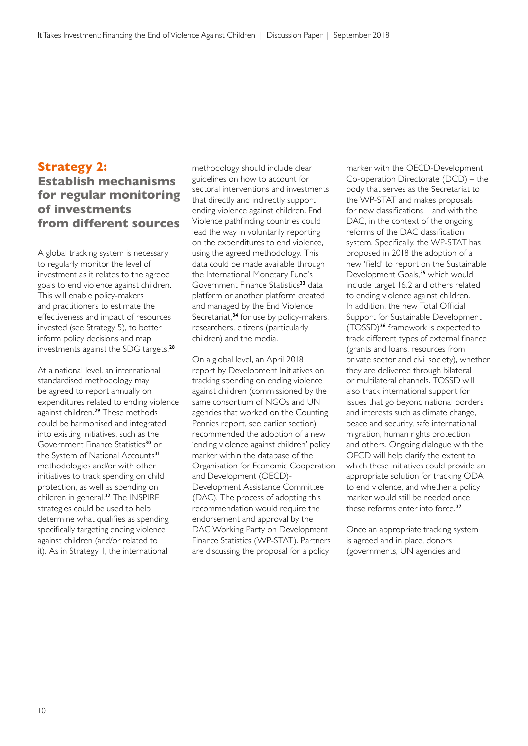#### **Strategy 2:**

#### **Establish mechanisms for regular monitoring of investments from different sources**

A global tracking system is necessary to regularly monitor the level of investment as it relates to the agreed goals to end violence against children. This will enable policy-makers and practitioners to estimate the effectiveness and impact of resources invested (see Strategy 5), to better inform policy decisions and map investments against the SDG targets.**<sup>28</sup>**

At a national level, an international standardised methodology may be agreed to report annually on expenditures related to ending violence against children.**<sup>29</sup>** These methods could be harmonised and integrated into existing initiatives, such as the Government Finance Statistics**<sup>30</sup>** or the System of National Accounts**<sup>31</sup>** methodologies and/or with other initiatives to track spending on child protection, as well as spending on children in general.**<sup>32</sup>** The INSPIRE strategies could be used to help determine what qualifies as spending specifically targeting ending violence against children (and/or related to it). As in Strategy 1, the international

methodology should include clear guidelines on how to account for sectoral interventions and investments that directly and indirectly support ending violence against children. End Violence pathfinding countries could lead the way in voluntarily reporting on the expenditures to end violence, using the agreed methodology. This data could be made available through the International Monetary Fund's Government Finance Statistics**<sup>33</sup>** data platform or another platform created and managed by the End Violence Secretariat,**<sup>34</sup>** for use by policy-makers, researchers, citizens (particularly children) and the media.

On a global level, an April 2018 report by Development Initiatives on tracking spending on ending violence against children (commissioned by the same consortium of NGOs and UN agencies that worked on the Counting Pennies report, see earlier section) recommended the adoption of a new 'ending violence against children' policy marker within the database of the Organisation for Economic Cooperation and Development (OECD)- Development Assistance Committee (DAC). The process of adopting this recommendation would require the endorsement and approval by the DAC Working Party on Development Finance Statistics (WP-STAT). Partners are discussing the proposal for a policy

marker with the OECD-Development Co-operation Directorate (DCD) – the body that serves as the Secretariat to the WP-STAT and makes proposals for new classifications – and with the DAC, in the context of the ongoing reforms of the DAC classification system. Specifically, the WP-STAT has proposed in 2018 the adoption of a new 'field' to report on the Sustainable Development Goals,**<sup>35</sup>** which would include target 16.2 and others related to ending violence against children. In addition, the new Total Official Support for Sustainable Development (TOSSD)**<sup>36</sup>** framework is expected to track different types of external finance (grants and loans, resources from private sector and civil society), whether they are delivered through bilateral or multilateral channels. TOSSD will also track international support for issues that go beyond national borders and interests such as climate change, peace and security, safe international migration, human rights protection and others. Ongoing dialogue with the OECD will help clarify the extent to which these initiatives could provide an appropriate solution for tracking ODA to end violence, and whether a policy marker would still be needed once these reforms enter into force.**<sup>37</sup>**

Once an appropriate tracking system is agreed and in place, donors (governments, UN agencies and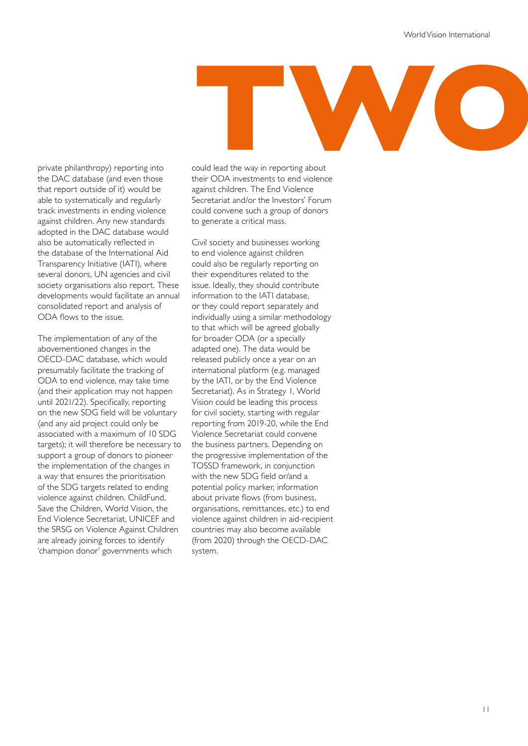# **THE SERVICE SERVICE SERVICE SERVICE SERVICE SERVICE SERVICE SERVICE SERVICE SERVICE SERVICE SERVICE SERVICE SERVICE SERVICE SERVICE SERVICE SERVICE SERVICE SERVICE SERVICE SERVICE SERVICE SERVICE SERVICE SERVICE SERVICE S**

private philanthropy) reporting into the DAC database (and even those that report outside of it) would be able to systematically and regularly track investments in ending violence against children. Any new standards adopted in the DAC database would also be automatically reflected in the database of the International Aid Transparency Initiative (IATI), where several donors, UN agencies and civil society organisations also report. These developments would facilitate an annual consolidated report and analysis of ODA flows to the issue.

The implementation of any of the abovementioned changes in the OECD-DAC database, which would presumably facilitate the tracking of ODA to end violence, may take time (and their application may not happen until 2021/22). Specifically, reporting on the new SDG field will be voluntary (and any aid project could only be associated with a maximum of 10 SDG targets); it will therefore be necessary to support a group of donors to pioneer the implementation of the changes in a way that ensures the prioritisation of the SDG targets related to ending violence against children. ChildFund, Save the Children, World Vision, the End Violence Secretariat, UNICEF and the SRSG on Violence Against Children are already joining forces to identify 'champion donor' governments which

could lead the way in reporting about their ODA investments to end violence against children. The End Violence Secretariat and/or the Investors' Forum could convene such a group of donors to generate a critical mass.

Civil society and businesses working to end violence against children could also be regularly reporting on their expenditures related to the issue. Ideally, they should contribute information to the IATI database, or they could report separately and individually using a similar methodology to that which will be agreed globally for broader ODA (or a specially adapted one). The data would be released publicly once a year on an international platform (e.g. managed by the IATI, or by the End Violence Secretariat). As in Strategy 1, World Vision could be leading this process for civil society, starting with regular reporting from 2019-20, while the End Violence Secretariat could convene the business partners. Depending on the progressive implementation of the TOSSD framework, in conjunction with the new SDG field or/and a potential policy marker, information about private flows (from business, organisations, remittances, etc.) to end violence against children in aid-recipient countries may also become available (from 2020) through the OECD-DAC system.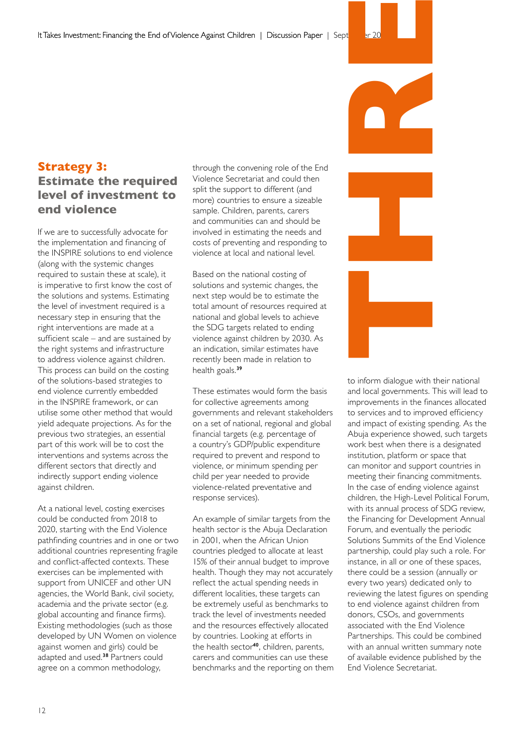#### **Strategy 3: Estimate the required level of investment to end violence**

If we are to successfully advocate for the implementation and financing of the INSPIRE solutions to end violence (along with the systemic changes required to sustain these at scale), it is imperative to first know the cost of the solutions and systems. Estimating the level of investment required is a necessary step in ensuring that the right interventions are made at a sufficient scale – and are sustained by the right systems and infrastructure to address violence against children. This process can build on the costing of the solutions-based strategies to end violence currently embedded in the INSPIRE framework, or can utilise some other method that would yield adequate projections. As for the previous two strategies, an essential part of this work will be to cost the interventions and systems across the different sectors that directly and indirectly support ending violence against children.

At a national level, costing exercises could be conducted from 2018 to 2020, starting with the End Violence pathfinding countries and in one or two additional countries representing fragile and conflict-affected contexts. These exercises can be implemented with support from UNICEF and other UN agencies, the World Bank, civil society, academia and the private sector (e.g. global accounting and finance firms). Existing methodologies (such as those developed by UN Women on violence against women and girls) could be adapted and used.**<sup>38</sup>** Partners could agree on a common methodology,

through the convening role of the End Violence Secretariat and could then split the support to different (and more) countries to ensure a sizeable sample. Children, parents, carers and communities can and should be involved in estimating the needs and costs of preventing and responding to violence at local and national level.

Based on the national costing of solutions and systemic changes, the next step would be to estimate the total amount of resources required at national and global levels to achieve the SDG targets related to ending violence against children by 2030. As an indication, similar estimates have recently been made in relation to health goals.**<sup>39</sup>**

These estimates would form the basis for collective agreements among governments and relevant stakeholders on a set of national, regional and global financial targets (e.g. percentage of a country's GDP/public expenditure required to prevent and respond to violence, or minimum spending per child per year needed to provide violence-related preventative and response services).

An example of similar targets from the health sector is the Abuja Declaration in 2001, when the African Union countries pledged to allocate at least 15% of their annual budget to improve health. Though they may not accurately reflect the actual spending needs in different localities, these targets can be extremely useful as benchmarks to track the level of investments needed and the resources effectively allocated by countries. Looking at efforts in the health sector**<sup>40</sup>**, children, parents, carers and communities can use these benchmarks and the reporting on them



to inform dialogue with their national and local governments. This will lead to improvements in the finances allocated to services and to improved efficiency and impact of existing spending. As the Abuja experience showed, such targets work best when there is a designated institution, platform or space that can monitor and support countries in meeting their financing commitments. In the case of ending violence against children, the High-Level Political Forum, with its annual process of SDG review, the Financing for Development Annual Forum, and eventually the periodic Solutions Summits of the End Violence partnership, could play such a role. For instance, in all or one of these spaces, there could be a session (annually or every two years) dedicated only to reviewing the latest figures on spending to end violence against children from donors, CSOs, and governments associated with the End Violence Partnerships. This could be combined with an annual written summary note of available evidence published by the End Violence Secretariat.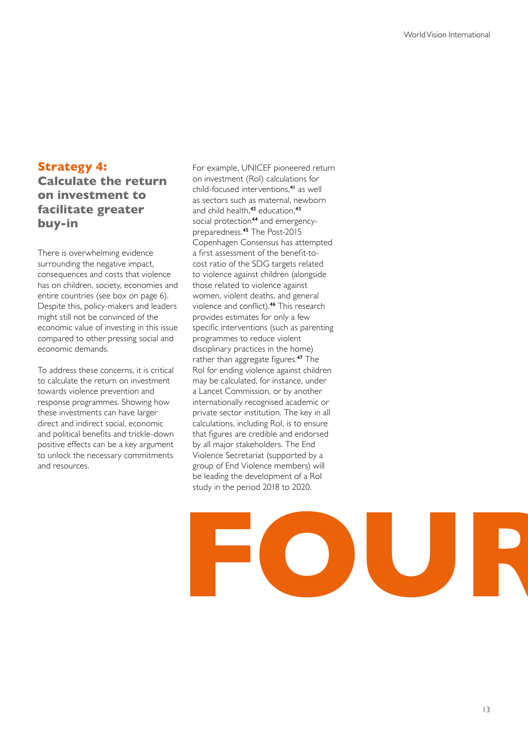#### **Strategy 4:**

#### **Calculate the return on investment to facilitate greater buy-in**

There is overwhelming evidence surrounding the negative impact, consequences and costs that violence has on children, society, economies and entire countries (see box on page 6). Despite this, policy-makers and leaders might still not be convinced of the economic value of investing in this issue compared to other pressing social and economic demands.

To address these concerns, it is critical to calculate the return on investment towards violence prevention and response programmes. Showing how these investments can have larger direct and indirect social, economic and political benefits and trickle-down positive effects can be a key argument to unlock the necessary commitments and resources.

For example, UNICEF pioneered return on investment (RoI) calculations for child-focused interventions,**<sup>41</sup>** as well as sectors such as maternal, newborn and child health,**<sup>42</sup>** education,**<sup>43</sup>** social protection**44** and emergencypreparedness.**<sup>45</sup>** The Post-2015 Copenhagen Consensus has attempted a first assessment of the benefit-tocost ratio of the SDG targets related to violence against children (alongside those related to violence against women, violent deaths, and general violence and conflict).**<sup>46</sup>** This research provides estimates for only a few specific interventions (such as parenting programmes to reduce violent disciplinary practices in the home) rather than aggregate figures.**<sup>47</sup>** The RoI for ending violence against children may be calculated, for instance, under a Lancet Commission, or by another internationally recognised academic or private sector institution. The key in all calculations, including RoI, is to ensure that figures are credible and endorsed by all major stakeholders. The End Violence Secretariat (supported by a group of End Violence members) will be leading the development of a RoI study in the period 2018 to 2020.

# **FOUR**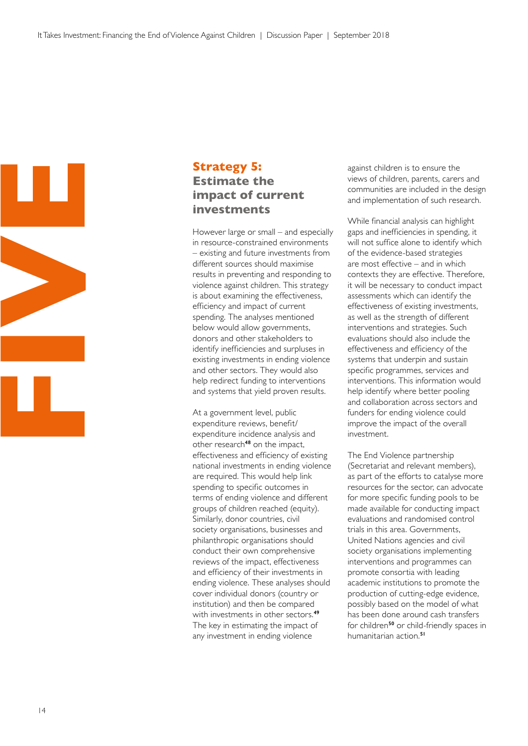

#### **Strategy 5: Estimate the impact of current investments**

However large or small – and especially in resource-constrained environments – existing and future investments from different sources should maximise results in preventing and responding to violence against children. This strategy is about examining the effectiveness, efficiency and impact of current spending. The analyses mentioned below would allow governments, donors and other stakeholders to identify inefficiencies and surpluses in existing investments in ending violence and other sectors. They would also help redirect funding to interventions and systems that yield proven results.

At a government level, public expenditure reviews, benefit/ expenditure incidence analysis and other research**<sup>48</sup>** on the impact, effectiveness and efficiency of existing national investments in ending violence are required. This would help link spending to specific outcomes in terms of ending violence and different groups of children reached (equity). Similarly, donor countries, civil society organisations, businesses and philanthropic organisations should conduct their own comprehensive reviews of the impact, effectiveness and efficiency of their investments in ending violence. These analyses should cover individual donors (country or institution) and then be compared with investments in other sectors.**<sup>49</sup>** The key in estimating the impact of any investment in ending violence

against children is to ensure the views of children, parents, carers and communities are included in the design and implementation of such research.

While financial analysis can highlight gaps and inefficiencies in spending, it will not suffice alone to identify which of the evidence-based strategies are most effective – and in which contexts they are effective. Therefore, it will be necessary to conduct impact assessments which can identify the effectiveness of existing investments, as well as the strength of different interventions and strategies. Such evaluations should also include the effectiveness and efficiency of the systems that underpin and sustain specific programmes, services and interventions. This information would help identify where better pooling and collaboration across sectors and funders for ending violence could improve the impact of the overall investment.

The End Violence partnership (Secretariat and relevant members), as part of the efforts to catalyse more resources for the sector, can advocate for more specific funding pools to be made available for conducting impact evaluations and randomised control trials in this area. Governments, United Nations agencies and civil society organisations implementing interventions and programmes can promote consortia with leading academic institutions to promote the production of cutting-edge evidence, possibly based on the model of what has been done around cash transfers for children**<sup>50</sup>** or child-friendly spaces in humanitarian action.**<sup>51</sup>**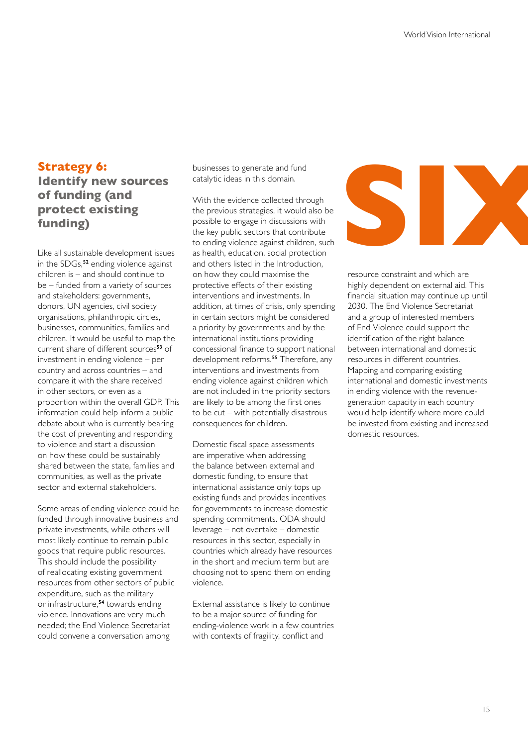#### **Strategy 6:**

#### **Identify new sources of funding (and protect existing funding)**

Like all sustainable development issues in the SDGs,**<sup>52</sup>** ending violence against children is – and should continue to be – funded from a variety of sources and stakeholders: governments, donors, UN agencies, civil society organisations, philanthropic circles, businesses, communities, families and children. It would be useful to map the current share of different sources**<sup>53</sup>** of investment in ending violence – per country and across countries – and compare it with the share received in other sectors, or even as a proportion within the overall GDP. This information could help inform a public debate about who is currently bearing the cost of preventing and responding to violence and start a discussion on how these could be sustainably shared between the state, families and communities, as well as the private sector and external stakeholders.

Some areas of ending violence could be funded through innovative business and private investments, while others will most likely continue to remain public goods that require public resources. This should include the possibility of reallocating existing government resources from other sectors of public expenditure, such as the military or infrastructure,**<sup>54</sup>** towards ending violence. Innovations are very much needed; the End Violence Secretariat could convene a conversation among

businesses to generate and fund catalytic ideas in this domain.

With the evidence collected through the previous strategies, it would also be possible to engage in discussions with the key public sectors that contribute to ending violence against children, such as health, education, social protection and others listed in the Introduction, on how they could maximise the protective effects of their existing interventions and investments. In addition, at times of crisis, only spending in certain sectors might be considered a priority by governments and by the international institutions providing concessional finance to support national development reforms.**<sup>55</sup>** Therefore, any interventions and investments from ending violence against children which are not included in the priority sectors are likely to be among the first ones to be cut – with potentially disastrous consequences for children.

Domestic fiscal space assessments are imperative when addressing the balance between external and domestic funding, to ensure that international assistance only tops up existing funds and provides incentives for governments to increase domestic spending commitments. ODA should leverage – not overtake – domestic resources in this sector, especially in countries which already have resources in the short and medium term but are choosing not to spend them on ending violence.

External assistance is likely to continue to be a major source of funding for ending-violence work in a few countries with contexts of fragility, conflict and



resource constraint and which are highly dependent on external aid. This financial situation may continue up until 2030. The End Violence Secretariat and a group of interested members of End Violence could support the identification of the right balance between international and domestic resources in different countries. Mapping and comparing existing international and domestic investments in ending violence with the revenuegeneration capacity in each country would help identify where more could be invested from existing and increased domestic resources.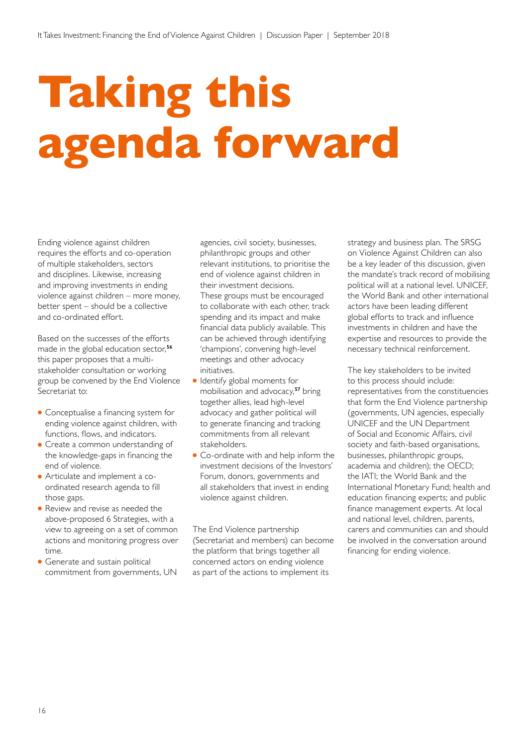## **Taking this agenda forward**

Ending violence against children requires the efforts and co-operation of multiple stakeholders, sectors and disciplines. Likewise, increasing and improving investments in ending violence against children – more money, better spent – should be a collective and co-ordinated effort.

Based on the successes of the efforts made in the global education sector,**<sup>56</sup>** this paper proposes that a multistakeholder consultation or working group be convened by the End Violence Secretariat to:

- Conceptualise a financing system for ending violence against children, with functions, flows, and indicators.
- Create a common understanding of the knowledge-gaps in financing the end of violence.
- Articulate and implement a coordinated research agenda to fill those gaps.
- Review and revise as needed the above-proposed 6 Strategies, with a view to agreeing on a set of common actions and monitoring progress over time.
- Generate and sustain political commitment from governments, UN

agencies, civil society, businesses, philanthropic groups and other relevant institutions, to prioritise the end of violence against children in their investment decisions. These groups must be encouraged to collaborate with each other, track spending and its impact and make financial data publicly available. This can be achieved through identifying 'champions', convening high-level meetings and other advocacy initiatives.

- Identify global moments for mobilisation and advocacy,**<sup>57</sup>** bring together allies, lead high-level advocacy and gather political will to generate financing and tracking commitments from all relevant stakeholders.
- Co-ordinate with and help inform the investment decisions of the Investors' Forum, donors, governments and all stakeholders that invest in ending violence against children.

The End Violence partnership (Secretariat and members) can become the platform that brings together all concerned actors on ending violence as part of the actions to implement its

strategy and business plan. The SRSG on Violence Against Children can also be a key leader of this discussion, given the mandate's track record of mobilising political will at a national level. UNICEF, the World Bank and other international actors have been leading different global efforts to track and influence investments in children and have the expertise and resources to provide the necessary technical reinforcement.

The key stakeholders to be invited to this process should include: representatives from the constituencies that form the End Violence partnership (governments, UN agencies, especially UNICEF and the UN Department of Social and Economic Affairs, civil society and faith-based organisations, businesses, philanthropic groups, academia and children); the OECD; the IATI; the World Bank and the International Monetary Fund; health and education financing experts; and public finance management experts. At local and national level, children, parents, carers and communities can and should be involved in the conversation around financing for ending violence.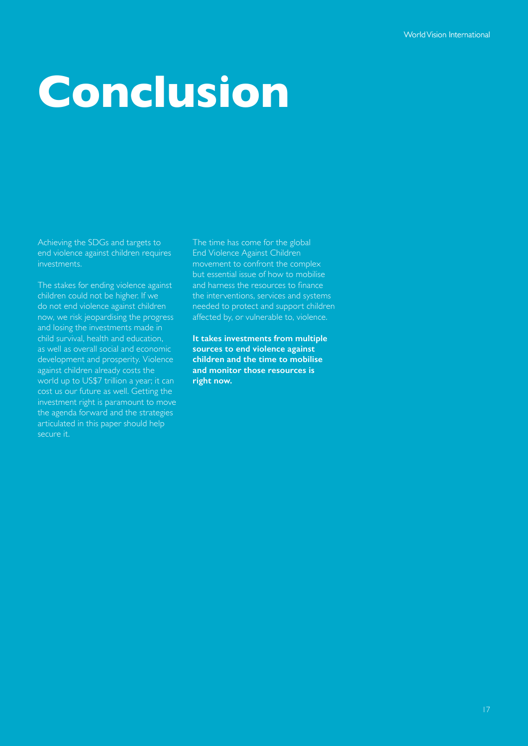## **Conclusion**

Achieving the SDGs and targets to end violence against children requires investments.

The stakes for ending violence against children could not be higher. If we do not end violence against children now, we risk jeopardising the progress and losing the investments made in child survival, health and education, as well as overall social and economic development and prosperity. Violence against children already costs the world up to US\$7 trillion a year; it can cost us our future as well. Getting the investment right is paramount to move the agenda forward and the strategies articulated in this paper should help secure it.

The time has come for the global End Violence Against Children movement to confront the complex but essential issue of how to mobilise and harness the resources to finance the interventions, services and systems needed to protect and support children affected by, or vulnerable to, violence.

**It takes investments from multiple sources to end violence against children and the time to mobilise and monitor those resources is right now.**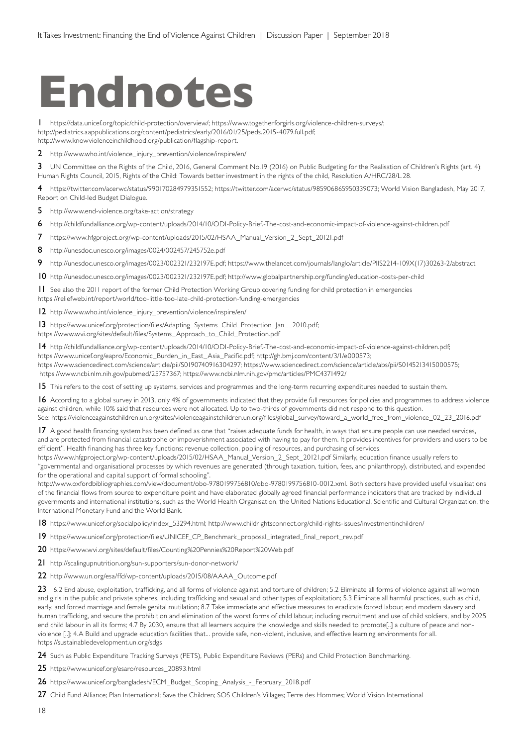### **Endnotes**

1 https://data.unicef.org/topic/child-protection/overview/; https://www.togetherforgirls.org/violence-children-surveys/; http://pediatrics.aappublications.org/content/pediatrics/early/2016/01/25/peds.2015-4079.full.pdf; http://www.knowviolenceinchildhood.org/publication/flagship-report.

2 http://www.who.int/violence\_injury\_prevention/violence/inspire/en/

3 UN Committee on the Rights of the Child, 2016, General Comment No.19 (2016) on Public Budgeting for the Realisation of Children's Rights (art. 4); Human Rights Council, 2015, Rights of the Child: Towards better investment in the rights of the child, Resolution A/HRC/28/L.28.

4 https://twitter.com/acerwc/status/990170284979351552; https://twitter.com/acerwc/status/985906865950339073; World Vision Bangladesh, May 2017, Report on Child-led Budget Dialogue.

5 http://www.end-violence.org/take-action/strategy

6 http://childfundalliance.org/wp-content/uploads/2014/10/ODI-Policy-Brief.-The-cost-and-economic-impact-of-violence-against-children.pdf

7 https://www.hfgproject.org/wp-content/uploads/2015/02/HSAA\_Manual\_Version\_2\_Sept\_20121.pdf

8 http://unesdoc.unesco.org/images/0024/002457/245752e.pdf

9 http://unesdoc.unesco.org/images/0023/002321/232197E.pdf; https://www.thelancet.com/journals/langlo/article/PIIS2214-109X(17)30263-2/abstract

10 http://unesdoc.unesco.org/images/0023/002321/232197E.pdf; http://www.globalpartnership.org/funding/education-costs-per-child

11 See also the 2011 report of the former Child Protection Working Group covering funding for child protection in emergencies https://reliefweb.int/report/world/too-little-too-late-child-protection-funding-emergencies

12 http://www.who.int/violence\_injury\_prevention/violence/inspire/en/

13 https://www.unicef.org/protection/files/Adapting\_Systems\_Child\_Protection\_Jan\_\_2010.pdf; https://www.wvi.org/sites/default/files/Systems\_Approach\_to\_Child\_Protection.pdf

14 http://childfundalliance.org/wp-content/uploads/2014/10/ODI-Policy-Brief.-The-cost-and-economic-impact-of-violence-against-children.pdf; https://www.unicef.org/eapro/Economic\_Burden\_in\_East\_Asia\_Pacific.pdf; http://gh.bmj.com/content/3/1/e000573; https://www.sciencedirect.com/science/article/pii/S0190740916304297; https://www.sciencedirect.com/science/article/abs/pii/S0145213415000575; https://www.ncbi.nlm.nih.gov/pubmed/25757367; https://www.ncbi.nlm.nih.gov/pmc/articles/PMC4371492/

15 This refers to the cost of setting up systems, services and programmes and the long-term recurring expenditures needed to sustain them.

16 According to a global survey in 2013, only 4% of governments indicated that they provide full resources for policies and programmes to address violence against children, while 10% said that resources were not allocated. Up to two-thirds of governments did not respond to this question. See: https://violenceagainstchildren.un.org/sites/violenceagainstchildren.un.org/files/global\_survey/toward\_a\_world\_free\_from\_violence\_02\_23\_2016.pdf

17 A good health financing system has been defined as one that "raises adequate funds for health, in ways that ensure people can use needed services, and are protected from financial catastrophe or impoverishment associated with having to pay for them. It provides incentives for providers and users to be efficient". Health financing has three key functions: revenue collection, pooling of resources, and purchasing of services.

https://www.hfgproject.org/wp-content/uploads/2015/02/HSAA\_Manual\_Version\_2\_Sept\_20121.pdf Similarly, education finance usually refers to "governmental and organisational processes by which revenues are generated (through taxation, tuition, fees, and philanthropy), distributed, and expended for the operational and capital support of formal schooling".

http://www.oxfordbibliographies.com/view/document/obo-9780199756810/obo-9780199756810-0012.xml. Both sectors have provided useful visualisations of the financial flows from source to expenditure point and have elaborated globally agreed financial performance indicators that are tracked by individual governments and international institutions, such as the World Health Organisation, the United Nations Educational, Scientific and Cultural Organization, the International Monetary Fund and the World Bank.

18 https://www.unicef.org/socialpolicy/index\_53294.html; http://www.childrightsconnect.org/child-rights-issues/investmentinchildren/

19 https://www.unicef.org/protection/files/UNICEF\_CP\_Benchmark\_proposal\_integrated\_final\_report\_rev.pdf

20 https://www.wvi.org/sites/default/files/Counting%20Pennies%20Report%20Web.pdf

21 http://scalingupnutrition.org/sun-supporters/sun-donor-network/

22 http://www.un.org/esa/ffd/wp-content/uploads/2015/08/AAAA\_Outcome.pdf

23 16.2 End abuse, exploitation, trafficking, and all forms of violence against and torture of children; 5.2 Eliminate all forms of violence against all women and girls in the public and private spheres, including trafficking and sexual and other types of exploitation; 5.3 Eliminate all harmful practices, such as child, early, and forced marriage and female genital mutilation; 8.7 Take immediate and effective measures to eradicate forced labour, end modern slavery and human trafficking, and secure the prohibition and elimination of the worst forms of child labour, including recruitment and use of child soldiers, and by 2025 end child labour in all its forms; 4.7 By 2030, ensure that all learners acquire the knowledge and skills needed to promote[..] a culture of peace and nonviolence [..]; 4.A Build and upgrade education facilities that... provide safe, non-violent, inclusive, and effective learning environments for all. https://sustainabledevelopment.un.org/sdgs

24 Such as Public Expenditure Tracking Surveys (PETS), Public Expenditure Reviews (PERs) and Child Protection Benchmarking.

25 https://www.unicef.org/esaro/resources\_20893.html

26 https://www.unicef.org/bangladesh/ECM\_Budget\_Scoping\_Analysis\_-\_February\_2018.pdf

27 Child Fund Alliance; Plan International; Save the Children; SOS Children's Villages; Terre des Hommes; World Vision International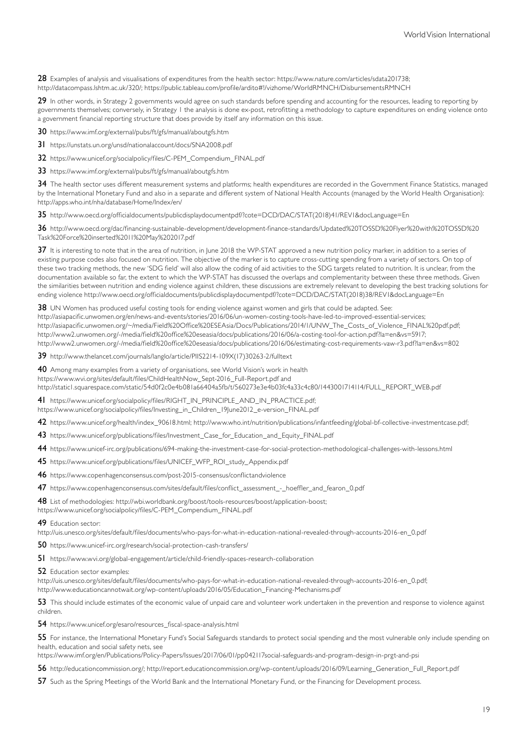28 Examples of analysis and visualisations of expenditures from the health sector: https://www.nature.com/articles/sdata201738; http://datacompass.lshtm.ac.uk/320/; https://public.tableau.com/profile/ardito#!/vizhome/WorldRMNCH/DisbursementsRMNCH

29 In other words, in Strategy 2 governments would agree on such standards before spending and accounting for the resources, leading to reporting by governments themselves; conversely, in Strategy 1 the analysis is done ex-post, retrofitting a methodology to capture expenditures on ending violence onto a government financial reporting structure that does provide by itself any information on this issue.

30 https://www.imf.org/external/pubs/ft/gfs/manual/aboutgfs.htm

31 https://unstats.un.org/unsd/nationalaccount/docs/SNA2008.pdf

32 https://www.unicef.org/socialpolicy/files/C-PEM\_Compendium\_FINAL.pdf

33 https://www.imf.org/external/pubs/ft/gfs/manual/aboutgfs.htm

34 The health sector uses different measurement systems and platforms; health expenditures are recorded in the Government Finance Statistics, managed by the International Monetary Fund and also in a separate and different system of National Health Accounts (managed by the World Health Organisation): http://apps.who.int/nha/database/Home/Index/en/

35 http://www.oecd.org/officialdocuments/publicdisplaydocumentpdf/?cote=DCD/DAC/STAT(2018)41/REV1&docLanguage=En

36 http://www.oecd.org/dac/financing-sustainable-development/development-finance-standards/Updated%20TOSSD%20Flyer%20with%20TOSSD%20 Task%20Force%20inserted%2011%20May%202017.pdf

37 It is interesting to note that in the area of nutrition, in June 2018 the WP-STAT approved a new nutrition policy marker, in addition to a series of existing purpose codes also focused on nutrition. The objective of the marker is to capture cross-cutting spending from a variety of sectors. On top of these two tracking methods, the new 'SDG field' will also allow the coding of aid activities to the SDG targets related to nutrition. It is unclear, from the documentation available so far, the extent to which the WP-STAT has discussed the overlaps and complementarity between these three methods. Given the similarities between nutrition and ending violence against children, these discussions are extremely relevant to developing the best tracking solutions for ending violence http://www.oecd.org/officialdocuments/publicdisplaydocumentpdf/?cote=DCD/DAC/STAT(2018)38/REV1&docLanguage=En

38 UN Women has produced useful costing tools for ending violence against women and girls that could be adapted. See: http://asiapacific.unwomen.org/en/news-and-events/stories/2016/06/un-women-costing-tools-have-led-to-improved-essential-services; http://asiapacific.unwomen.org/~/media/Field%20Office%20ESEAsia/Docs/Publications/2014/1/UNW\_The\_Costs\_of\_Violence\_FINAL%20pdf.pdf; http://www2.unwomen.org/-/media/field%20office%20eseasia/docs/publications/2016/06/a-costing-tool-for-action.pdf?la=en&vs=5917; http://www2.unwomen.org/-/media/field%20office%20eseasia/docs/publications/2016/06/estimating-cost-requirements-vaw-r3.pdf?la=en&vs=802

39 http://www.thelancet.com/journals/langlo/article/PIIS2214-109X(17)30263-2/fulltext

40 Among many examples from a variety of organisations, see World Vision's work in health https://www.wvi.org/sites/default/files/ChildHealthNow\_Sept-2016\_Full-Report.pdf and http://static1.squarespace.com/static/54d0f2c0e4b081a66404a5fb/t/560273e3e4b03fc4a33c4c80/1443001714114/FULL\_REPORT\_WEB.pdf

41 https://www.unicef.org/socialpolicy/files/RIGHT\_IN\_PRINCIPLE\_AND\_IN\_PRACTICE.pdf; https://www.unicef.org/socialpolicy/files/Investing\_in\_Children\_19June2012\_e-version\_FINAL.pdf

42 https://www.unicef.org/health/index 90618.html; http://www.who.int/nutrition/publications/infantfeeding/global-bf-collective-investmentcase.pdf;

43 https://www.unicef.org/publications/files/Investment\_Case\_for\_Education\_and\_Equity\_FINAL.pdf

44 https://www.unicef-irc.org/publications/694-making-the-investment-case-for-social-protection-methodological-challenges-with-lessons.html

45 https://www.unicef.org/publications/files/UNICEF WFP\_ROI\_study\_Appendix.pdf

46 https://www.copenhagenconsensus.com/post-2015-consensus/conflictandviolence

47 https://www.copenhagenconsensus.com/sites/default/files/conflict\_assessment\_-\_hoeffler\_and\_fearon\_0.pdf

48 List of methodologies: http://wbi.worldbank.org/boost/tools-resources/boost/application-boost;

https://www.unicef.org/socialpolicy/files/C-PEM\_Compendium\_FINAL.pdf

49 Education sector:

http://uis.unesco.org/sites/default/files/documents/who-pays-for-what-in-education-national-revealed-through-accounts-2016-en\_0.pdf

50 https://www.unicef-irc.org/research/social-protection-cash-transfers/

51 https://www.wvi.org/global-engagement/article/child-friendly-spaces-research-collaboration

**52** Education sector examples:

http://uis.unesco.org/sites/default/files/documents/who-pays-for-what-in-education-national-revealed-through-accounts-2016-en\_0.pdf; http://www.educationcannotwait.org/wp-content/uploads/2016/05/Education\_Financing-Mechanisms.pdf

53 This should include estimates of the economic value of unpaid care and volunteer work undertaken in the prevention and response to violence against children.

54 https://www.unicef.org/esaro/resources\_fiscal-space-analysis.html

55 For instance, the International Monetary Fund's Social Safeguards standards to protect social spending and the most vulnerable only include spending on health, education and social safety nets, see

https://www.imf.org/en/Publications/Policy-Papers/Issues/2017/06/01/pp042117social-safeguards-and-program-design-in-prgt-and-psi

56 http://educationcommission.org/; http://report.educationcommission.org/wp-content/uploads/2016/09/Learning\_Generation\_Full\_Report.pdf

57 Such as the Spring Meetings of the World Bank and the International Monetary Fund, or the Financing for Development process.